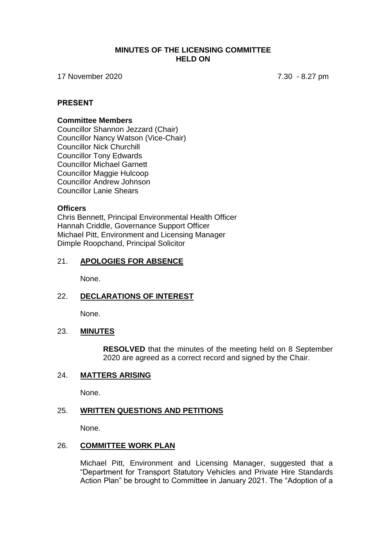#### **MINUTES OF THE LICENSING COMMITTEE HELD ON**

17 November 2020 7.30 - 8.27 pm

#### **PRESENT**

#### **Committee Members**

Councillor Shannon Jezzard (Chair) Councillor Nancy Watson (Vice-Chair) Councillor Nick Churchill Councillor Tony Edwards Councillor Michael Garnett Councillor Maggie Hulcoop Councillor Andrew Johnson Councillor Lanie Shears

#### **Officers**

Chris Bennett, Principal Environmental Health Officer Hannah Criddle, Governance Support Officer Michael Pitt, Environment and Licensing Manager Dimple Roopchand, Principal Solicitor

#### 21. **APOLOGIES FOR ABSENCE**

None.

# 22. **DECLARATIONS OF INTEREST**

None.

#### 23. **MINUTES**

**RESOLVED** that the minutes of the meeting held on 8 September 2020 are agreed as a correct record and signed by the Chair.

# 24. **MATTERS ARISING**

None.

# 25. **WRITTEN QUESTIONS AND PETITIONS**

None.

#### 26. **COMMITTEE WORK PLAN**

Michael Pitt, Environment and Licensing Manager, suggested that a "Department for Transport Statutory Vehicles and Private Hire Standards Action Plan" be brought to Committee in January 2021. The "Adoption of a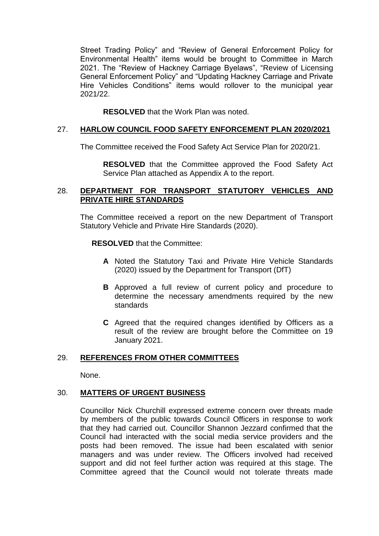Street Trading Policy" and "Review of General Enforcement Policy for Environmental Health" items would be brought to Committee in March 2021. The "Review of Hackney Carriage Byelaws", "Review of Licensing General Enforcement Policy" and "Updating Hackney Carriage and Private Hire Vehicles Conditions" items would rollover to the municipal year 2021/22.

**RESOLVED** that the Work Plan was noted.

# 27. **HARLOW COUNCIL FOOD SAFETY ENFORCEMENT PLAN 2020/2021**

The Committee received the Food Safety Act Service Plan for 2020/21.

**RESOLVED** that the Committee approved the Food Safety Act Service Plan attached as Appendix A to the report.

# 28. **DEPARTMENT FOR TRANSPORT STATUTORY VEHICLES AND PRIVATE HIRE STANDARDS**

The Committee received a report on the new Department of Transport Statutory Vehicle and Private Hire Standards (2020).

**RESOLVED** that the Committee:

- **A** Noted the Statutory Taxi and Private Hire Vehicle Standards (2020) issued by the Department for Transport (DfT)
- **B** Approved a full review of current policy and procedure to determine the necessary amendments required by the new standards
- **C** Agreed that the required changes identified by Officers as a result of the review are brought before the Committee on 19 January 2021.

# 29. **REFERENCES FROM OTHER COMMITTEES**

None.

# 30. **MATTERS OF URGENT BUSINESS**

Councillor Nick Churchill expressed extreme concern over threats made by members of the public towards Council Officers in response to work that they had carried out. Councillor Shannon Jezzard confirmed that the Council had interacted with the social media service providers and the posts had been removed. The issue had been escalated with senior managers and was under review. The Officers involved had received support and did not feel further action was required at this stage. The Committee agreed that the Council would not tolerate threats made